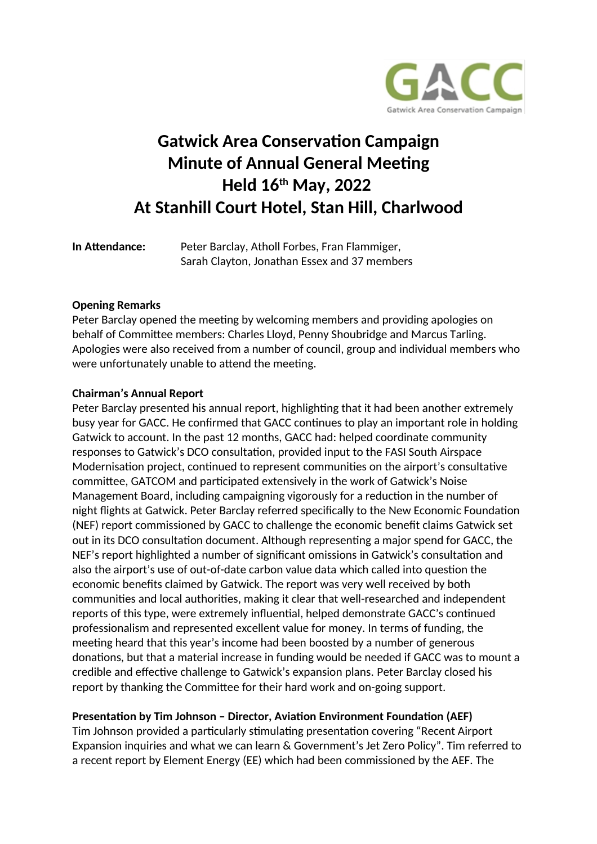

# **Gatwick Area Conservation Campaign Minute of Annual General Meeting Held 16th May, 2022 At Stanhill Court Hotel, Stan Hill, Charlwood**

**In Atendance:** Peter Barclay, Atholl Forbes, Fran Flammiger, Sarah Clayton, Jonathan Essex and 37 members

### **Opening Remarks**

Peter Barclay opened the meeting by welcoming members and providing apologies on behalf of Commitee members: Charles Lloyd, Penny Shoubridge and Marcus Tarling. Apologies were also received from a number of council, group and individual members who were unfortunately unable to attend the meeting.

#### **Chairman's Annual Report**

Peter Barclay presented his annual report, highlighting that it had been another extremely busy year for GACC. He confrmed that GACC contnues to play an important role in holding Gatwick to account. In the past 12 months, GACC had: helped coordinate community responses to Gatwick's DCO consultaton, provided input to the FASI South Airspace Modernisation project, continued to represent communities on the airport's consultative committee, GATCOM and participated extensively in the work of Gatwick's Noise Management Board, including campaigning vigorously for a reduction in the number of night fights at Gatwick. Peter Barclay referred specifcally to the New Economic Foundaton (NEF) report commissioned by GACC to challenge the economic beneft claims Gatwick set out in its DCO consultation document. Although representing a major spend for GACC, the NEF's report highlighted a number of signifcant omissions in Gatwick's consultaton and also the airport's use of out-of-date carbon value data which called into question the economic benefts claimed by Gatwick. The report was very well received by both communites and local authorites, making it clear that well-researched and independent reports of this type, were extremely influential, helped demonstrate GACC's continued professionalism and represented excellent value for money. In terms of funding, the meeting heard that this year's income had been boosted by a number of generous donations, but that a material increase in funding would be needed if GACC was to mount a credible and efectve challenge to Gatwick's expansion plans. Peter Barclay closed his report by thanking the Commitee for their hard work and on-going support.

### **Presentation by Tim Johnson - Director, Aviation Environment Foundation (AEF)**

Tim Johnson provided a particularly stimulating presentation covering "Recent Airport Expansion inquiries and what we can learn & Government's Jet Zero Policy". Tim referred to a recent report by Element Energy (EE) which had been commissioned by the AEF. The